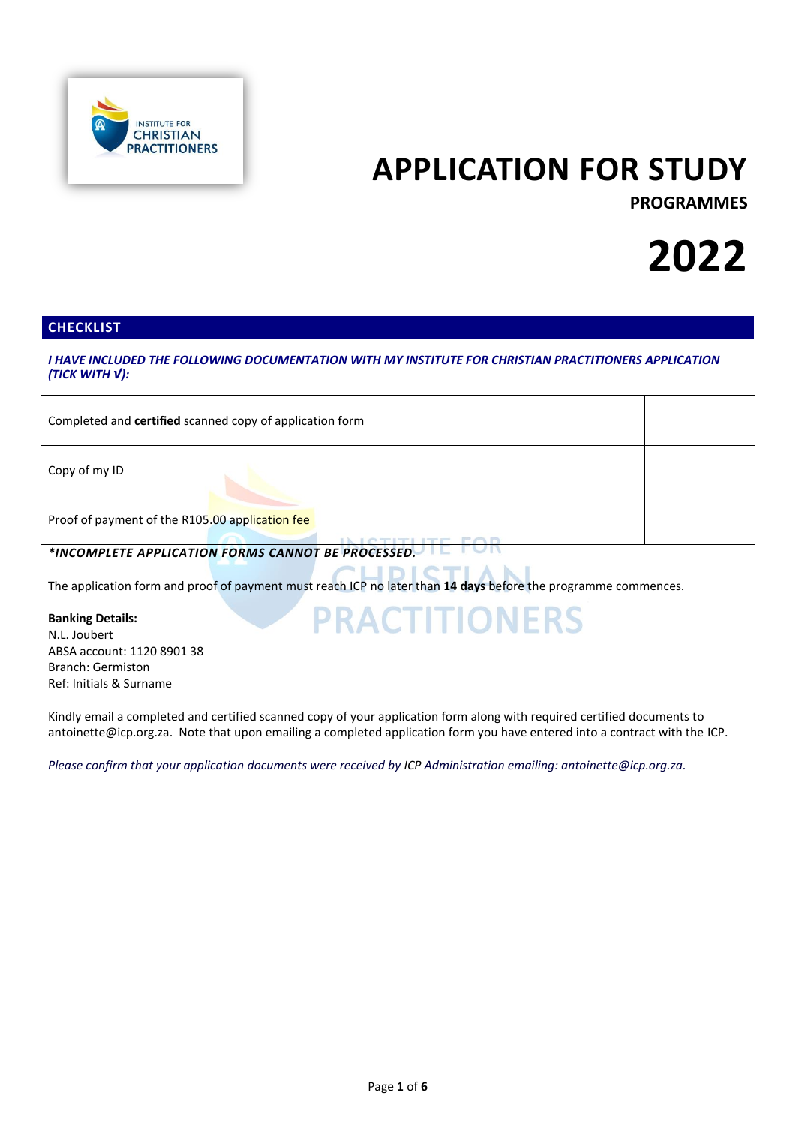

## **APPLICATION FOR STUDY**

**PROGRAMMES**

# **2022**

## **CHECKLIST**

*I HAVE INCLUDED THE FOLLOWING DOCUMENTATION WITH MY INSTITUTE FOR CHRISTIAN PRACTITIONERS APPLICATION (TICK WITH √):*

| Completed and certified scanned copy of application form |  |
|----------------------------------------------------------|--|
| Copy of my ID                                            |  |
| Proof of payment of the R105.00 application fee          |  |

**PRACTITIONERS** 

*\*INCOMPLETE APPLICATION FORMS CANNOT BE PROCESSED.*

The application form and proof of payment must reach ICP no later than **14 days** before the programme commences.

## **Banking Details:**

N.L. Joubert ABSA account: 1120 8901 38 Branch: Germiston Ref: Initials & Surname

Kindly email a completed and certified scanned copy of your application form along with required certified documents to antoinette@icp.org.za. Note that upon emailing a completed application form you have entered into a contract with the ICP.

*Please confirm that your application documents were received by ICP Administration emailing: [antoinette@icp.org.za.](mailto:studentadmin@icp.org.za)*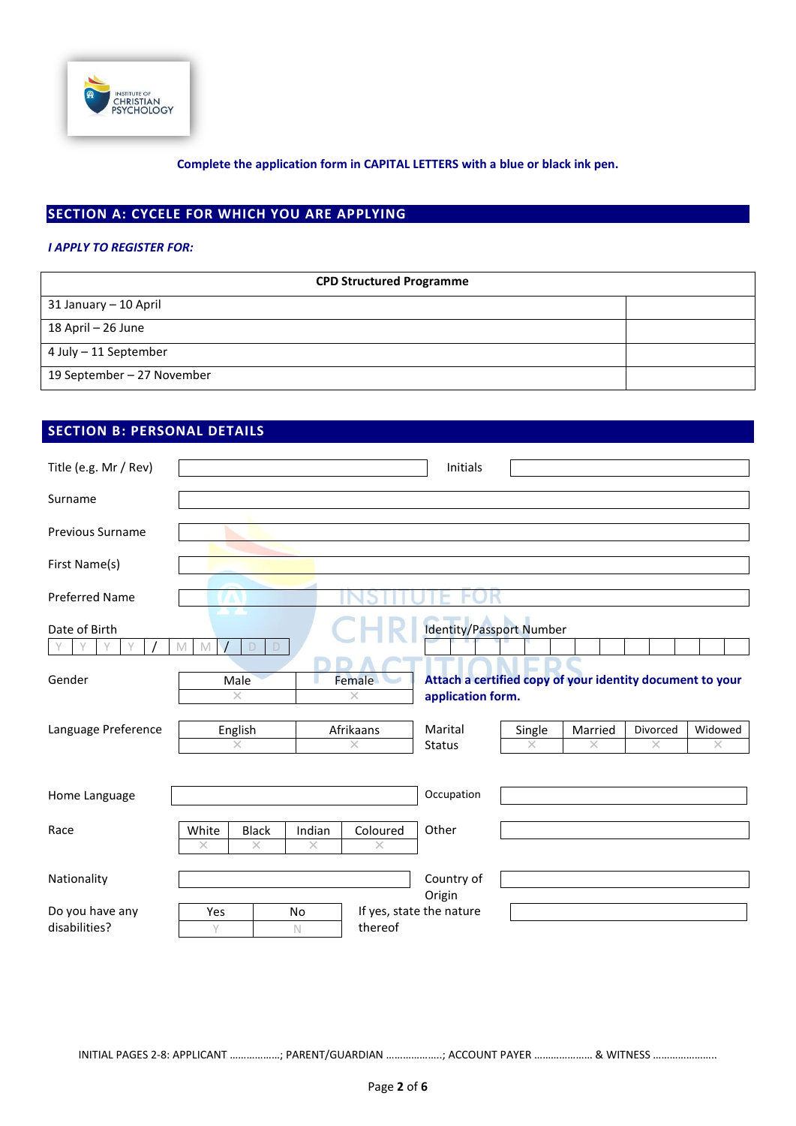

## **SECTION A: CYCELE FOR WHICH YOU ARE APPLYING**

## *I APPLY TO REGISTER FOR:*

| <b>CPD Structured Programme</b> |  |  |  |  |
|---------------------------------|--|--|--|--|
| 31 January - 10 April           |  |  |  |  |
| 18 April – 26 June              |  |  |  |  |
| 4 July – 11 September           |  |  |  |  |
| 19 September - 27 November      |  |  |  |  |

## **SECTION B: PERSONAL DETAILS**

| Title (e.g. Mr / Rev)            |            |                          |                    |                       | <b>Initials</b>                                                                |                    |                     |                      |                     |
|----------------------------------|------------|--------------------------|--------------------|-----------------------|--------------------------------------------------------------------------------|--------------------|---------------------|----------------------|---------------------|
| Surname                          |            |                          |                    |                       |                                                                                |                    |                     |                      |                     |
| <b>Previous Surname</b>          |            |                          |                    |                       |                                                                                |                    |                     |                      |                     |
| First Name(s)                    |            |                          |                    |                       |                                                                                |                    |                     |                      |                     |
| <b>Preferred Name</b>            |            |                          |                    |                       |                                                                                |                    |                     |                      |                     |
| Date of Birth<br>V               | M<br>M     |                          |                    |                       | <b>Identity/Passport Number</b>                                                |                    |                     |                      |                     |
| Gender                           |            | Male<br>$\times$         |                    | Female<br>$\times$    | Attach a certified copy of your identity document to your<br>application form. |                    |                     |                      |                     |
| Language Preference              |            | English<br>$\times$      |                    | Afrikaans<br>$\times$ | Marital<br><b>Status</b>                                                       | Single<br>$\times$ | Married<br>$\times$ | Divorced<br>$\times$ | Widowed<br>$\times$ |
| Home Language                    |            |                          |                    |                       | Occupation                                                                     |                    |                     |                      |                     |
| Race                             | White<br>× | <b>Black</b><br>$\times$ | Indian<br>$\times$ | Coloured<br>$\times$  | Other                                                                          |                    |                     |                      |                     |
| Nationality                      |            |                          |                    |                       | Country of<br>Origin                                                           |                    |                     |                      |                     |
| Do you have any<br>disabilities? | Yes<br>V   |                          | No<br>$\mathbb N$  | thereof               | If yes, state the nature                                                       |                    |                     |                      |                     |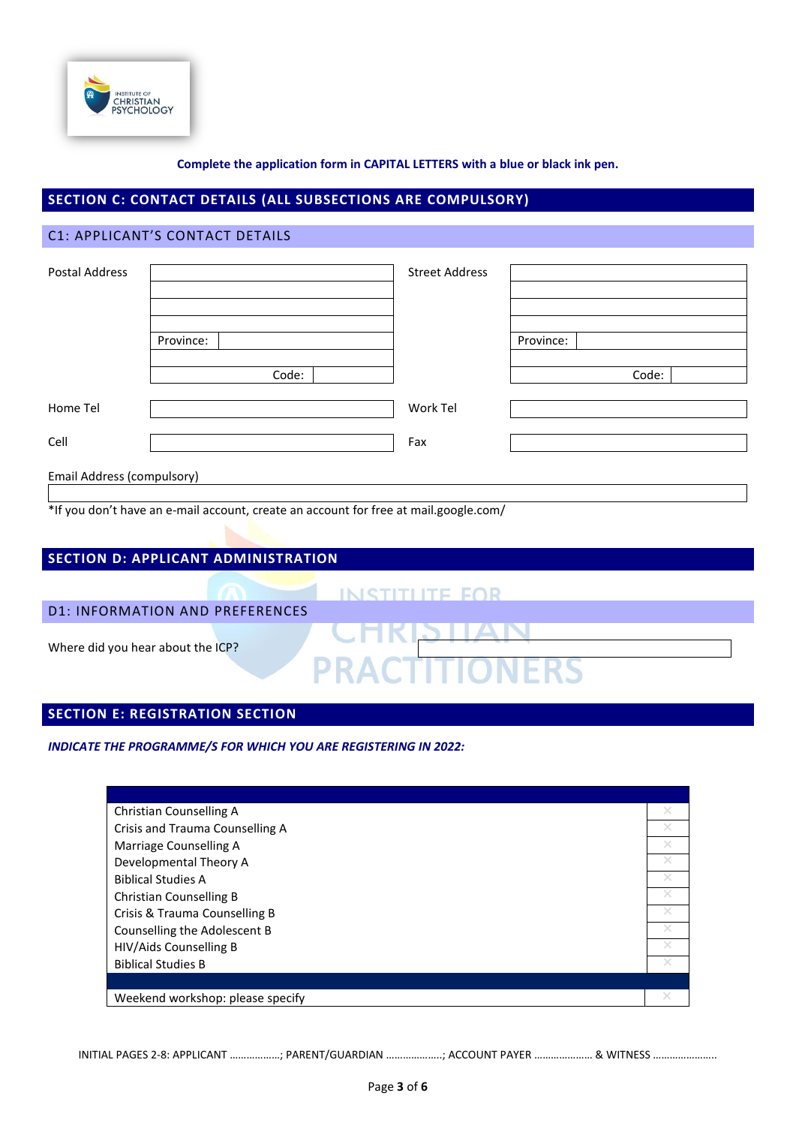

## **SECTION C: CONTACT DETAILS (ALL SUBSECTIONS ARE COMPULSORY)**

## C1: APPLICANT'S CONTACT DETAILS

| Postal Address             |           | <b>Street Address</b> |           |
|----------------------------|-----------|-----------------------|-----------|
|                            |           |                       |           |
|                            |           |                       |           |
|                            |           |                       |           |
|                            | Province: |                       | Province: |
|                            |           |                       |           |
|                            | Code:     |                       | Code:     |
|                            |           |                       |           |
| Home Tel                   |           | Work Tel              |           |
|                            |           |                       |           |
| Cell                       |           | Fax                   |           |
|                            |           |                       |           |
| Email Address (compulsory) |           |                       |           |

\*If you don't have an e-mail account, create an account for free at mail.google.com/

| <b>SECTION D: APPLICANT ADMINISTRATION</b> |                  |
|--------------------------------------------|------------------|
|                                            | INISTITI ITE FOR |
| <b>D1: INFORMATION AND PREFERENCES</b>     |                  |
| Where did you hear about the ICP?          | ACTITIO          |

## **SECTION E: REGISTRATION SECTION**

*INDICATE THE PROGRAMME/S FOR WHICH YOU ARE REGISTERING IN 2022:*

| Christian Counselling A          | $\times$ |
|----------------------------------|----------|
| Crisis and Trauma Counselling A  |          |
| Marriage Counselling A           | ×        |
| Developmental Theory A           |          |
| <b>Biblical Studies A</b>        | $\times$ |
| <b>Christian Counselling B</b>   |          |
| Crisis & Trauma Counselling B    |          |
| Counselling the Adolescent B     |          |
| HIV/Aids Counselling B           |          |
| <b>Biblical Studies B</b>        |          |
|                                  |          |
| Weekend workshop: please specify |          |

INITIAL PAGES 2-8: APPLICANT ………………; PARENT/GUARDIAN ………………..; ACCOUNT PAYER ………………… & WITNESS …………………..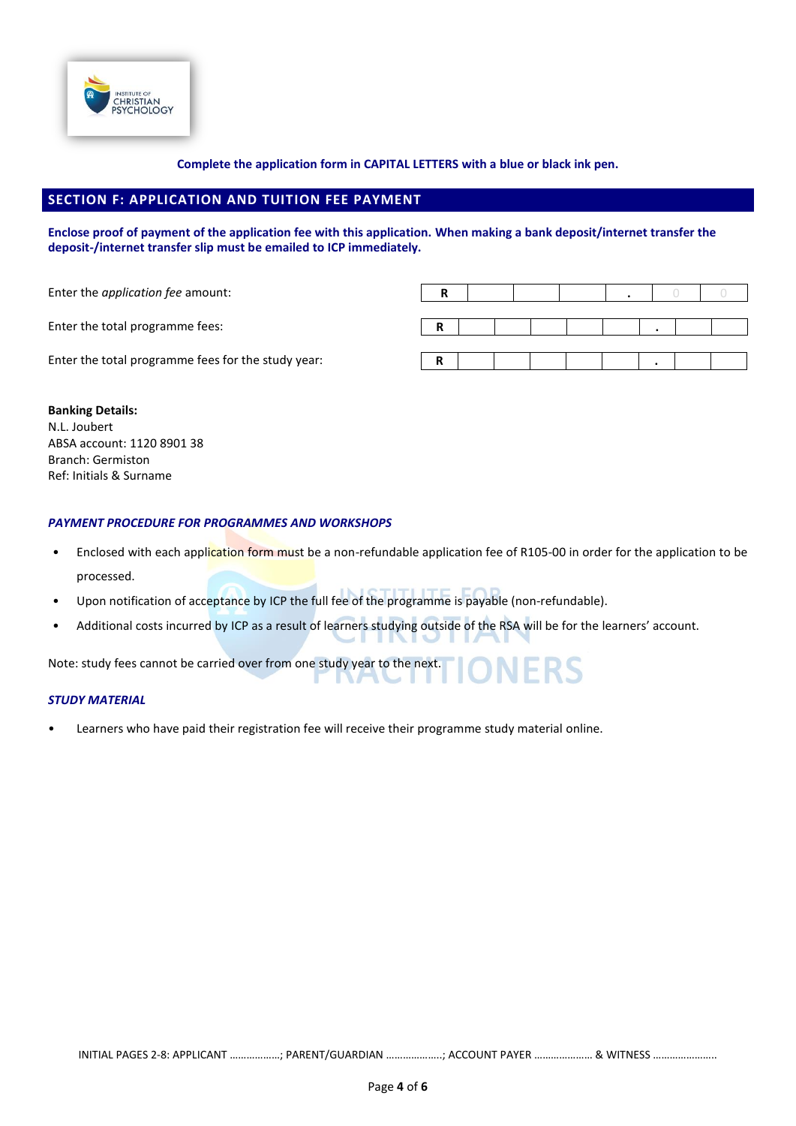

## **SECTION F: APPLICATION AND TUITION FEE PAYMENT**

#### **Enclose proof of payment of the application fee with this application. When making a bank deposit/internet transfer the deposit-/internet transfer slip must be emailed to ICP immediately.**

| Enter the <i>application fee</i> amount:           |    |  |  |  |  |
|----------------------------------------------------|----|--|--|--|--|
| Enter the total programme fees:                    |    |  |  |  |  |
| Enter the total programme fees for the study year: | -R |  |  |  |  |

## **Banking Details:**

N.L. Joubert ABSA account: 1120 8901 38 Branch: Germiston Ref: Initials & Surname

## *PAYMENT PROCEDURE FOR PROGRAMMES AND WORKSHOPS*

- Enclosed with each application form must be a non-refundable application fee of R105-00 in order for the application to be processed.
- Upon notification of acceptance by ICP the full fee of the programme is payable (non-refundable).
- Additional costs incurred by ICP as a result of learners studying outside of the RSA will be for the learners' account.

Note: study fees cannot be carried over from one study year to the next.

## *STUDY MATERIAL*

• Learners who have paid their registration fee will receive their programme study material online.

INITIAL PAGES 2-8: APPLICANT ………………; PARENT/GUARDIAN ………………..; ACCOUNT PAYER ………………… & WITNESS …………………..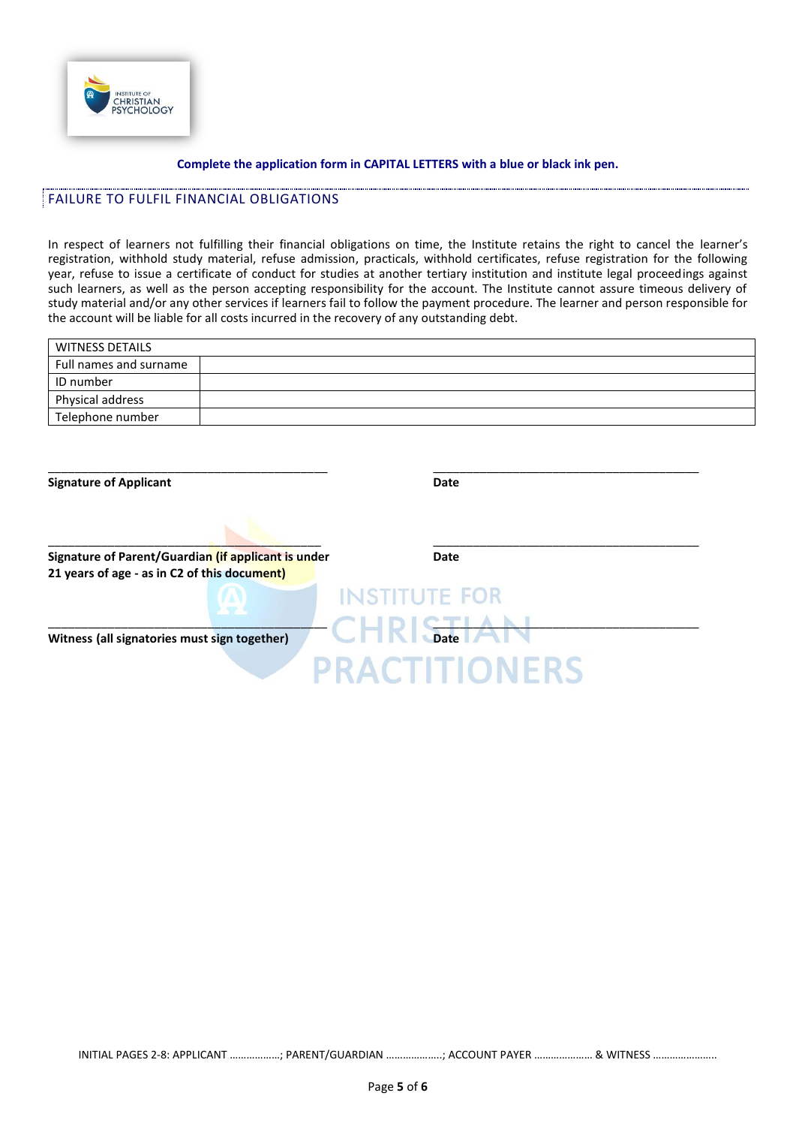

## FAILURE TO FULFIL FINANCIAL OBLIGATIONS

In respect of learners not fulfilling their financial obligations on time, the Institute retains the right to cancel the learner's registration, withhold study material, refuse admission, practicals, withhold certificates, refuse registration for the following year, refuse to issue a certificate of conduct for studies at another tertiary institution and institute legal proceedings against such learners, as well as the person accepting responsibility for the account. The Institute cannot assure timeous delivery of study material and/or any other services if learners fail to follow the payment procedure. The learner and person responsible for the account will be liable for all costs incurred in the recovery of any outstanding debt.

| <b>WITNESS DETAILS</b> |  |
|------------------------|--|
| Full names and surname |  |
| ID number              |  |
| Physical address       |  |
| Telephone number       |  |

| <b>Signature of Applicant</b>                       | Date                 |
|-----------------------------------------------------|----------------------|
|                                                     |                      |
| Signature of Parent/Guardian (if applicant is under | <b>Date</b>          |
| 21 years of age - as in C2 of this document)        |                      |
|                                                     | <b>INSTITUTE FOR</b> |
|                                                     |                      |
| Witness (all signatories must sign together)        | <b>Date</b>          |
|                                                     |                      |